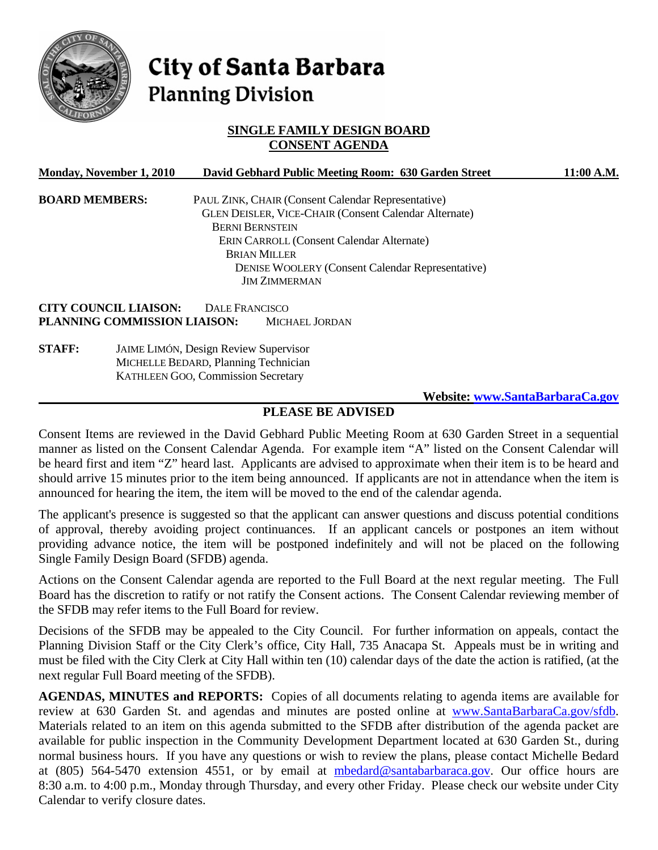

# City of Santa Barbara **Planning Division**

# **SINGLE FAMILY DESIGN BOARD CONSENT AGENDA**

|                       | Monday, November 1, 2010                     |                       | David Gebhard Public Meeting Room: 630 Garden Street    |  | 11:00 A.M. |  |
|-----------------------|----------------------------------------------|-----------------------|---------------------------------------------------------|--|------------|--|
| <b>BOARD MEMBERS:</b> |                                              |                       | PAUL ZINK, CHAIR (Consent Calendar Representative)      |  |            |  |
|                       |                                              |                       | GLEN DEISLER, VICE-CHAIR (Consent Calendar Alternate)   |  |            |  |
|                       |                                              |                       | <b>BERNI BERNSTEIN</b>                                  |  |            |  |
|                       |                                              |                       | <b>ERIN CARROLL (Consent Calendar Alternate)</b>        |  |            |  |
|                       |                                              |                       | <b>BRIAN MILLER</b>                                     |  |            |  |
|                       |                                              |                       | <b>DENISE WOOLERY (Consent Calendar Representative)</b> |  |            |  |
|                       |                                              |                       | <b>JIM ZIMMERMAN</b>                                    |  |            |  |
|                       | <b>CITY COUNCIL LIAISON:</b>                 | <b>DALE FRANCISCO</b> |                                                         |  |            |  |
|                       | PLANNING COMMISSION LIAISON:                 |                       | MICHAEL JORDAN                                          |  |            |  |
| <b>STAFF:</b>         | <b>JAIME LIMÓN, Design Review Supervisor</b> |                       |                                                         |  |            |  |
|                       | MICHELLE BEDARD, Planning Technician         |                       |                                                         |  |            |  |
|                       | <b>KATHLEEN GOO, Commission Secretary</b>    |                       |                                                         |  |            |  |
|                       |                                              |                       |                                                         |  |            |  |

## **Website: [www.SantaBarbaraCa.gov](http://www.santabarbaraca.gov/)**

# **PLEASE BE ADVISED**

Consent Items are reviewed in the David Gebhard Public Meeting Room at 630 Garden Street in a sequential manner as listed on the Consent Calendar Agenda. For example item "A" listed on the Consent Calendar will be heard first and item "Z" heard last. Applicants are advised to approximate when their item is to be heard and should arrive 15 minutes prior to the item being announced. If applicants are not in attendance when the item is announced for hearing the item, the item will be moved to the end of the calendar agenda.

The applicant's presence is suggested so that the applicant can answer questions and discuss potential conditions of approval, thereby avoiding project continuances. If an applicant cancels or postpones an item without providing advance notice, the item will be postponed indefinitely and will not be placed on the following Single Family Design Board (SFDB) agenda.

Actions on the Consent Calendar agenda are reported to the Full Board at the next regular meeting. The Full Board has the discretion to ratify or not ratify the Consent actions. The Consent Calendar reviewing member of the SFDB may refer items to the Full Board for review.

Decisions of the SFDB may be appealed to the City Council. For further information on appeals, contact the Planning Division Staff or the City Clerk's office, City Hall, 735 Anacapa St. Appeals must be in writing and must be filed with the City Clerk at City Hall within ten (10) calendar days of the date the action is ratified, (at the next regular Full Board meeting of the SFDB).

**AGENDAS, MINUTES and REPORTS:** Copies of all documents relating to agenda items are available for review at 630 Garden St. and agendas and minutes are posted online at [www.SantaBarbaraCa.gov/sfdb.](http://www.santabarbaraca.gov/sfdb) Materials related to an item on this agenda submitted to the SFDB after distribution of the agenda packet are available for public inspection in the Community Development Department located at 630 Garden St., during normal business hours. If you have any questions or wish to review the plans, please contact Michelle Bedard at (805) 564-5470 extension 4551, or by email at [mbedard@santabarbaraca.gov](mailto:mbedard@santabarbaraca.gov). Our office hours are 8:30 a.m. to 4:00 p.m., Monday through Thursday, and every other Friday. Please check our website under City Calendar to verify closure dates.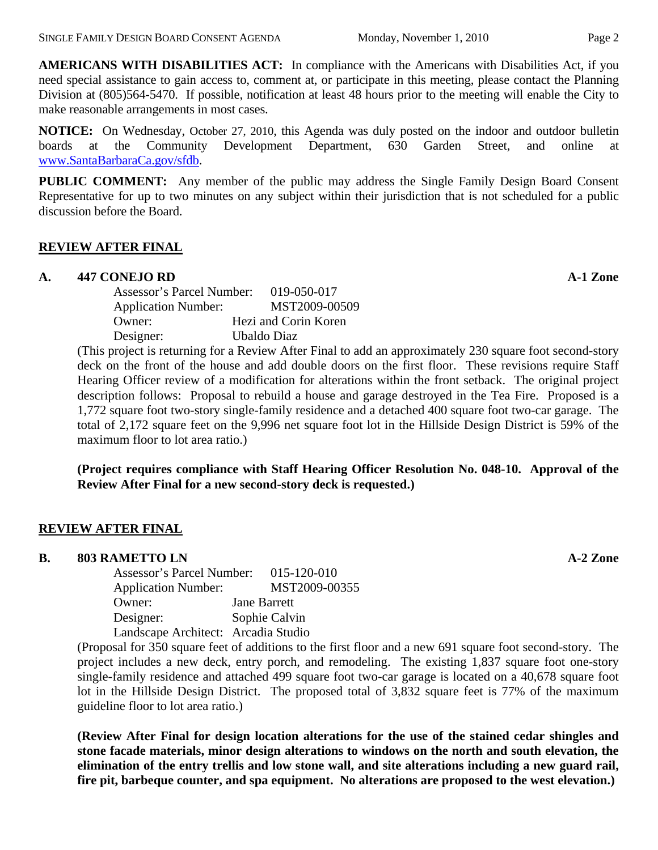**AMERICANS WITH DISABILITIES ACT:** In compliance with the Americans with Disabilities Act, if you need special assistance to gain access to, comment at, or participate in this meeting, please contact the Planning Division at (805)564-5470. If possible, notification at least 48 hours prior to the meeting will enable the City to make reasonable arrangements in most cases.

**NOTICE:** On Wednesday, October 27, 2010, this Agenda was duly posted on the indoor and outdoor bulletin boards at the Community Development Department, 630 Garden Street, and online at [www.SantaBarbaraCa.gov/sfdb](http://www.santabarbaraca.gov/sfdb).

**PUBLIC COMMENT:** Any member of the public may address the Single Family Design Board Consent Representative for up to two minutes on any subject within their jurisdiction that is not scheduled for a public discussion before the Board.

# **REVIEW AFTER FINAL**

# A. 447 CONEJO RD **A-1 Zone**

| Assessor's Parcel Number:  | 019-050-017          |
|----------------------------|----------------------|
| <b>Application Number:</b> | MST2009-00509        |
| Owner:                     | Hezi and Corin Koren |
| Designer:                  | Ubaldo Diaz          |

(This project is returning for a Review After Final to add an approximately 230 square foot second-story deck on the front of the house and add double doors on the first floor. These revisions require Staff Hearing Officer review of a modification for alterations within the front setback. The original project description follows: Proposal to rebuild a house and garage destroyed in the Tea Fire. Proposed is a 1,772 square foot two-story single-family residence and a detached 400 square foot two-car garage. The total of 2,172 square feet on the 9,996 net square foot lot in the Hillside Design District is 59% of the maximum floor to lot area ratio.)

**(Project requires compliance with Staff Hearing Officer Resolution No. 048-10. Approval of the Review After Final for a new second-story deck is requested.)** 

# **REVIEW AFTER FINAL**

# **B.** 803 RAMETTO LN **A-2** Zone

| Assessor's Parcel Number:           | 015-120-010         |
|-------------------------------------|---------------------|
| <b>Application Number:</b>          | MST2009-00355       |
| Owner:                              | <b>Jane Barrett</b> |
| Designer:                           | Sophie Calvin       |
| Landscape Architect: Arcadia Studio |                     |

(Proposal for 350 square feet of additions to the first floor and a new 691 square foot second-story. The project includes a new deck, entry porch, and remodeling. The existing 1,837 square foot one-story single-family residence and attached 499 square foot two-car garage is located on a 40,678 square foot lot in the Hillside Design District. The proposed total of 3,832 square feet is 77% of the maximum guideline floor to lot area ratio.)

**(Review After Final for design location alterations for the use of the stained cedar shingles and stone facade materials, minor design alterations to windows on the north and south elevation, the elimination of the entry trellis and low stone wall, and site alterations including a new guard rail, fire pit, barbeque counter, and spa equipment. No alterations are proposed to the west elevation.)**